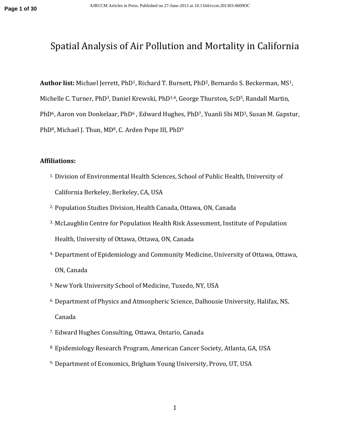# Spatial Analysis of Air Pollution and Mortality in California

**Author list:** Michael Jerrett, PhD1, Richard T. Burnett, PhD2, Bernardo S. Beckerman, MS1, Michelle C. Turner, PhD<sup>3</sup>, Daniel Krewski, PhD<sup>3,4</sup>, George Thurston, ScD<sup>5</sup>, Randall Martin, PhD<sup>6</sup>, Aaron von Donkelaar, PhD<sup>6</sup>, Edward Hughes, PhD<sup>7</sup>, Yuanli Shi MD<sup>3</sup>, Susan M. Gapstur, PhD<sup>8</sup>, Michael J. Thun, MD<sup>8</sup>, C. Arden Pope III, PhD<sup>9</sup>

## **Affiliations:**

- 1. Division of Environmental Health Sciences, School of Public Health, University of California Berkeley, Berkeley, CA, USA
- 2. Population Studies Division, Health Canada, Ottawa, ON, Canada
- 3. McLaughlin Centre for Population Health Risk Assessment, Institute of Population Health, University of Ottawa, Ottawa, ON, Canada
- 4. Department of Epidemiology and Community Medicine, University of Ottawa, Ottawa, ON, Canada
- 5. New York University School of Medicine, Tuxedo, NY, USA
- 6. Department of Physics and Atmospheric Science, Dalhousie University, Halifax, NS, Canada
- 7. Edward Hughes Consulting, Ottawa, Ontario, Canada
- 8. Epidemiology Research Program, American Cancer Society, Atlanta, GA, USA
- 9. Department of Economics, Brigham Young University, Provo, UT, USA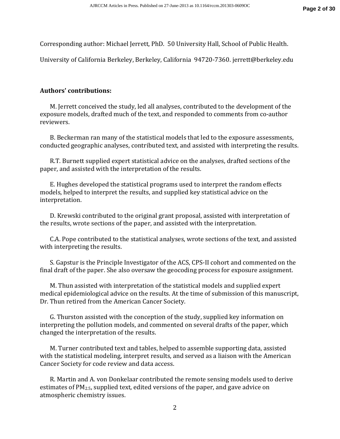Corresponding author: Michael Jerrett, PhD. 50 University Hall, School of Public Health.

University of California Berkeley, Berkeley, California 94720-7360. jerrett@berkeley.edu

## **Authors' contributions:**

M. Jerrett conceived the study, led all analyses, contributed to the development of the exposure models, drafted much of the text, and responded to comments from co-author reviewers.

B. Beckerman ran many of the statistical models that led to the exposure assessments, conducted geographic analyses, contributed text, and assisted with interpreting the results.

R.T. Burnett supplied expert statistical advice on the analyses, drafted sections of the paper, and assisted with the interpretation of the results.

E. Hughes developed the statistical programs used to interpret the random effects models, helped to interpret the results, and supplied key statistical advice on the interpretation.

D. Krewski contributed to the original grant proposal, assisted with interpretation of the results, wrote sections of the paper, and assisted with the interpretation.

C.A. Pope contributed to the statistical analyses, wrote sections of the text, and assisted with interpreting the results.

S. Gapstur is the Principle Investigator of the ACS, CPS-II cohort and commented on the final draft of the paper. She also oversaw the geocoding process for exposure assignment.

M. Thun assisted with interpretation of the statistical models and supplied expert medical epidemiological advice on the results. At the time of submission of this manuscript, Dr. Thun retired from the American Cancer Society.

G. Thurston assisted with the conception of the study, supplied key information on interpreting the pollution models, and commented on several drafts of the paper, which changed the interpretation of the results.

M. Turner contributed text and tables, helped to assemble supporting data, assisted with the statistical modeling, interpret results, and served as a liaison with the American Cancer Society for code review and data access.

R. Martin and A. von Donkelaar contributed the remote sensing models used to derive estimates of PM2.5, supplied text, edited versions of the paper, and gave advice on atmospheric chemistry issues.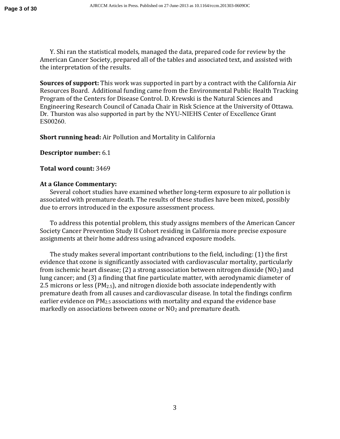Y. Shi ran the statistical models, managed the data, prepared code for review by the American Cancer Society, prepared all of the tables and associated text, and assisted with the interpretation of the results.

**Sources of support:** This work was supported in part by a contract with the California Air Resources Board. Additional funding came from the Environmental Public Health Tracking Program of the Centers for Disease Control. D. Krewski is the Natural Sciences and Engineering Research Council of Canada Chair in Risk Science at the University of Ottawa. Dr. Thurston was also supported in part by the NYU-NIEHS Center of Excellence Grant ES00260.

**Short running head:** Air Pollution and Mortality in California

**Descriptor number:** 6.1

### **Total word count:** 3469

## **At a Glance Commentary:**

Several cohort studies have examined whether long-term exposure to air pollution is associated with premature death. The results of these studies have been mixed, possibly due to errors introduced in the exposure assessment process.

To address this potential problem, this study assigns members of the American Cancer Society Cancer Prevention Study II Cohort residing in California more precise exposure assignments at their home address using advanced exposure models.

The study makes several important contributions to the field, including: (1) the first evidence that ozone is significantly associated with cardiovascular mortality, particularly from ischemic heart disease; (2) a strong association between nitrogen dioxide  $(NO<sub>2</sub>)$  and lung cancer; and (3) a finding that fine particulate matter, with aerodynamic diameter of 2.5 microns or less ( $PM_{2.5}$ ), and nitrogen dioxide both associate independently with premature death from all causes and cardiovascular disease. In total the findings confirm earlier evidence on PM2.5 associations with mortality and expand the evidence base markedly on associations between ozone or NO<sub>2</sub> and premature death.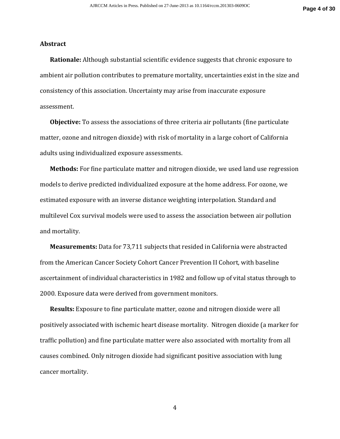#### **Abstract**

**Rationale:** Although substantial scientific evidence suggests that chronic exposure to ambient air pollution contributes to premature mortality, uncertainties exist in the size and consistency of this association. Uncertainty may arise from inaccurate exposure assessment.

**Objective:** To assess the associations of three criteria air pollutants (fine particulate matter, ozone and nitrogen dioxide) with risk of mortality in a large cohort of California adults using individualized exposure assessments.

**Methods:** For fine particulate matter and nitrogen dioxide, we used land use regression models to derive predicted individualized exposure at the home address. For ozone, we estimated exposure with an inverse distance weighting interpolation. Standard and multilevel Cox survival models were used to assess the association between air pollution and mortality.

**Measurements:** Data for 73,711 subjects that resided in California were abstracted from the American Cancer Society Cohort Cancer Prevention II Cohort, with baseline ascertainment of individual characteristics in 1982 and follow up of vital status through to 2000. Exposure data were derived from government monitors.

**Results:** Exposure to fine particulate matter, ozone and nitrogen dioxide were all positively associated with ischemic heart disease mortality. Nitrogen dioxide (a marker for traffic pollution) and fine particulate matter were also associated with mortality from all causes combined. Only nitrogen dioxide had significant positive association with lung cancer mortality.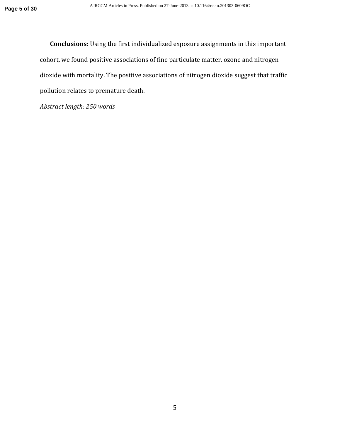**Conclusions:** Using the first individualized exposure assignments in this important cohort, we found positive associations of fine particulate matter, ozone and nitrogen dioxide with mortality. The positive associations of nitrogen dioxide suggest that traffic pollution relates to premature death.

*Abstract length: 250 words*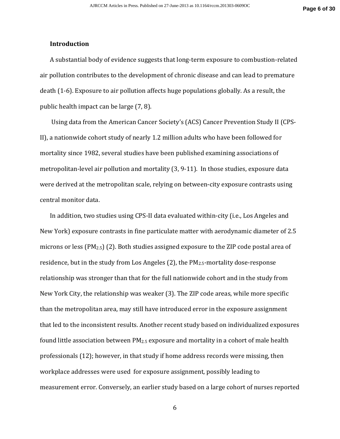#### **Introduction**

A substantial body of evidence suggests that long-term exposure to combustion-related air pollution contributes to the development of chronic disease and can lead to premature death (1-6). Exposure to air pollution affects huge populations globally. As a result, the public health impact can be large (7, 8).

 Using data from the American Cancer Society's (ACS) Cancer Prevention Study II (CPS-II), a nationwide cohort study of nearly 1.2 million adults who have been followed for mortality since 1982, several studies have been published examining associations of metropolitan-level air pollution and mortality (3, 9-11). In those studies, exposure data were derived at the metropolitan scale, relying on between-city exposure contrasts using central monitor data.

In addition, two studies using CPS-II data evaluated within-city (i.e., Los Angeles and New York) exposure contrasts in fine particulate matter with aerodynamic diameter of 2.5 microns or less (PM2.5) (2). Both studies assigned exposure to the ZIP code postal area of residence, but in the study from Los Angeles  $(2)$ , the PM<sub>2.5</sub>-mortality dose-response relationship was stronger than that for the full nationwide cohort and in the study from New York City, the relationship was weaker (3). The ZIP code areas, while more specific than the metropolitan area, may still have introduced error in the exposure assignment that led to the inconsistent results. Another recent study based on individualized exposures found little association between  $PM_{2.5}$  exposure and mortality in a cohort of male health professionals (12); however, in that study if home address records were missing, then workplace addresses were used for exposure assignment, possibly leading to measurement error. Conversely, an earlier study based on a large cohort of nurses reported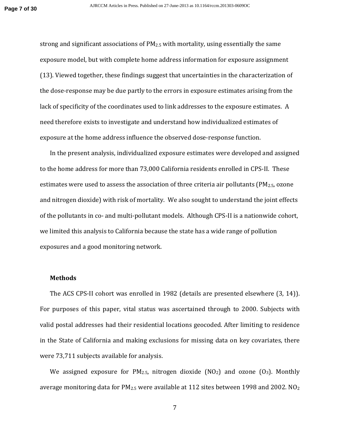strong and significant associations of  $PM<sub>2.5</sub>$  with mortality, using essentially the same exposure model, but with complete home address information for exposure assignment (13). Viewed together, these findings suggest that uncertainties in the characterization of the dose-response may be due partly to the errors in exposure estimates arising from the lack of specificity of the coordinates used to link addresses to the exposure estimates. A need therefore exists to investigate and understand how individualized estimates of exposure at the home address influence the observed dose-response function.

In the present analysis, individualized exposure estimates were developed and assigned to the home address for more than 73,000 California residents enrolled in CPS-II. These estimates were used to assess the association of three criteria air pollutants ( $PM_{2.5}$ , ozone and nitrogen dioxide) with risk of mortality. We also sought to understand the joint effects of the pollutants in co- and multi-pollutant models. Although CPS-II is a nationwide cohort, we limited this analysis to California because the state has a wide range of pollution exposures and a good monitoring network.

#### **Methods**

The ACS CPS-II cohort was enrolled in 1982 (details are presented elsewhere (3, 14)). For purposes of this paper, vital status was ascertained through to 2000. Subjects with valid postal addresses had their residential locations geocoded. After limiting to residence in the State of California and making exclusions for missing data on key covariates, there were 73,711 subjects available for analysis.

We assigned exposure for  $PM_{2.5}$ , nitrogen dioxide (NO<sub>2</sub>) and ozone (O<sub>3</sub>). Monthly average monitoring data for  $PM_{2.5}$  were available at 112 sites between 1998 and 2002. NO<sub>2</sub>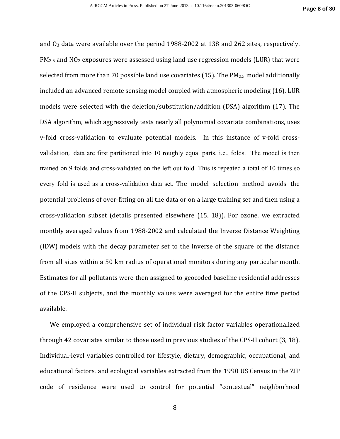and  $O_3$  data were available over the period 1988-2002 at 138 and 262 sites, respectively.  $PM_{2.5}$  and  $NO<sub>2</sub>$  exposures were assessed using land use regression models (LUR) that were selected from more than 70 possible land use covariates (15). The  $PM_{2.5}$  model additionally included an advanced remote sensing model coupled with atmospheric modeling (16). LUR models were selected with the deletion/substitution/addition (DSA) algorithm (17). The DSA algorithm, which aggressively tests nearly all polynomial covariate combinations, uses v-fold cross-validation to evaluate potential models. In this instance of v-fold crossvalidation, data are first partitioned into 10 roughly equal parts, i.e., folds. The model is then trained on 9 folds and cross-validated on the left out fold. This is repeated a total of 10 times so every fold is used as a cross-validation data set. The model selection method avoids the potential problems of over-fitting on all the data or on a large training set and then using a cross-validation subset (details presented elsewhere (15, 18)). For ozone, we extracted monthly averaged values from 1988-2002 and calculated the Inverse Distance Weighting (IDW) models with the decay parameter set to the inverse of the square of the distance from all sites within a 50 km radius of operational monitors during any particular month. Estimates for all pollutants were then assigned to geocoded baseline residential addresses of the CPS-II subjects, and the monthly values were averaged for the entire time period available.

We employed a comprehensive set of individual risk factor variables operationalized through 42 covariates similar to those used in previous studies of the CPS-II cohort (3, 18). Individual-level variables controlled for lifestyle, dietary, demographic, occupational, and educational factors, and ecological variables extracted from the 1990 US Census in the ZIP code of residence were used to control for potential "contextual" neighborhood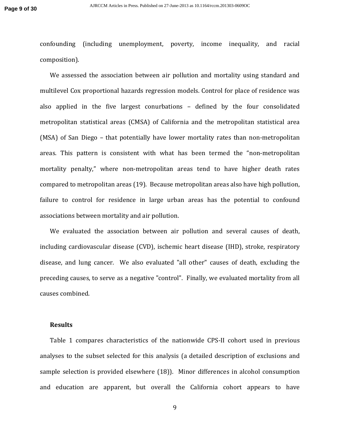confounding (including unemployment, poverty, income inequality, and racial composition).

We assessed the association between air pollution and mortality using standard and multilevel Cox proportional hazards regression models. Control for place of residence was also applied in the five largest conurbations – defined by the four consolidated metropolitan statistical areas (CMSA) of California and the metropolitan statistical area (MSA) of San Diego – that potentially have lower mortality rates than non-metropolitan areas. This pattern is consistent with what has been termed the "non-metropolitan mortality penalty," where non-metropolitan areas tend to have higher death rates compared to metropolitan areas (19). Because metropolitan areas also have high pollution, failure to control for residence in large urban areas has the potential to confound associations between mortality and air pollution.

We evaluated the association between air pollution and several causes of death, including cardiovascular disease (CVD), ischemic heart disease (IHD), stroke, respiratory disease, and lung cancer. We also evaluated "all other" causes of death, excluding the preceding causes, to serve as a negative "control". Finally, we evaluated mortality from all causes combined.

#### **Results**

Table 1 compares characteristics of the nationwide CPS-II cohort used in previous analyses to the subset selected for this analysis (a detailed description of exclusions and sample selection is provided elsewhere (18)). Minor differences in alcohol consumption and education are apparent, but overall the California cohort appears to have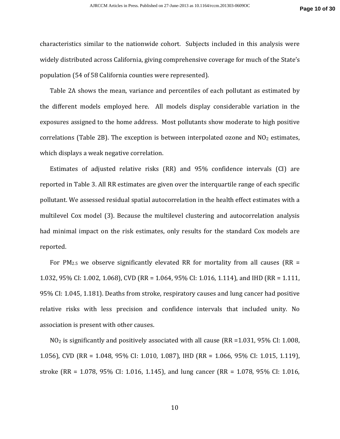characteristics similar to the nationwide cohort. Subjects included in this analysis were widely distributed across California, giving comprehensive coverage for much of the State's population (54 of 58 California counties were represented).

Table 2A shows the mean, variance and percentiles of each pollutant as estimated by the different models employed here. All models display considerable variation in the exposures assigned to the home address. Most pollutants show moderate to high positive correlations (Table 2B). The exception is between interpolated ozone and  $NO<sub>2</sub>$  estimates, which displays a weak negative correlation.

Estimates of adjusted relative risks (RR) and 95% confidence intervals (CI) are reported in Table 3. All RR estimates are given over the interquartile range of each specific pollutant. We assessed residual spatial autocorrelation in the health effect estimates with a multilevel Cox model (3). Because the multilevel clustering and autocorrelation analysis had minimal impact on the risk estimates, only results for the standard Cox models are reported.

For PM<sub>2.5</sub> we observe significantly elevated RR for mortality from all causes (RR = 1.032, 95% CI: 1.002, 1.068), CVD (RR = 1.064, 95% CI: 1.016, 1.114), and IHD (RR = 1.111, 95% CI: 1.045, 1.181). Deaths from stroke, respiratory causes and lung cancer had positive relative risks with less precision and confidence intervals that included unity. No association is present with other causes.

 $NO<sub>2</sub>$  is significantly and positively associated with all cause (RR = 1.031, 95% CI: 1.008, 1.056), CVD (RR = 1.048, 95% CI: 1.010, 1.087), IHD (RR = 1.066, 95% CI: 1.015, 1.119), stroke (RR = 1.078, 95% CI: 1.016, 1.145), and lung cancer (RR = 1.078, 95% CI: 1.016,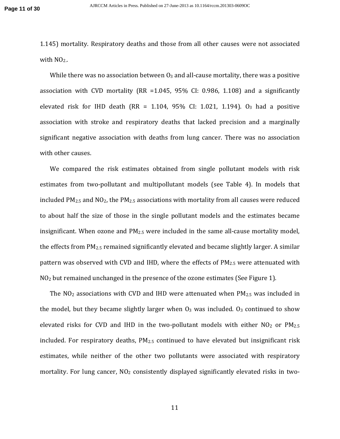1.145) mortality. Respiratory deaths and those from all other causes were not associated with  $NO<sub>2</sub>$ .

While there was no association between  $O_3$  and all-cause mortality, there was a positive association with CVD mortality (RR =1.045, 95% CI: 0.986, 1.108) and a significantly elevated risk for IHD death (RR =  $1.104$ ,  $95\%$  CI: 1.021, 1.194). O<sub>3</sub> had a positive association with stroke and respiratory deaths that lacked precision and a marginally significant negative association with deaths from lung cancer. There was no association with other causes.

We compared the risk estimates obtained from single pollutant models with risk estimates from two-pollutant and multipollutant models (see Table 4). In models that included PM2.5 and NO2, the PM2.5 associations with mortality from all causes were reduced to about half the size of those in the single pollutant models and the estimates became insignificant. When ozone and PM2.5 were included in the same all-cause mortality model, the effects from PM2.5 remained significantly elevated and became slightly larger. A similar pattern was observed with CVD and IHD, where the effects of  $PM_{2.5}$  were attenuated with NO2 but remained unchanged in the presence of the ozone estimates (See Figure 1).

The  $NO<sub>2</sub>$  associations with CVD and IHD were attenuated when  $PM<sub>2.5</sub>$  was included in the model, but they became slightly larger when  $O_3$  was included.  $O_3$  continued to show elevated risks for CVD and IHD in the two-pollutant models with either  $NO<sub>2</sub>$  or  $PM<sub>2.5</sub>$ included. For respiratory deaths, PM<sub>2.5</sub> continued to have elevated but insignificant risk estimates, while neither of the other two pollutants were associated with respiratory mortality. For lung cancer,  $NO<sub>2</sub>$  consistently displayed significantly elevated risks in two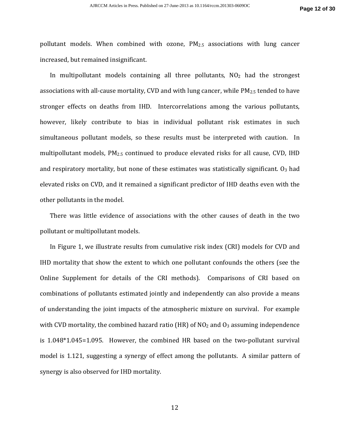pollutant models. When combined with ozone,  $PM_{2.5}$  associations with lung cancer increased, but remained insignificant.

In multipollutant models containing all three pollutants,  $NO<sub>2</sub>$  had the strongest associations with all-cause mortality, CVD and with lung cancer, while PM<sub>2.5</sub> tended to have stronger effects on deaths from IHD. Intercorrelations among the various pollutants, however, likely contribute to bias in individual pollutant risk estimates in such simultaneous pollutant models, so these results must be interpreted with caution. In multipollutant models, PM2.5 continued to produce elevated risks for all cause, CVD, IHD and respiratory mortality, but none of these estimates was statistically significant.  $O_3$  had elevated risks on CVD, and it remained a significant predictor of IHD deaths even with the other pollutants in the model.

There was little evidence of associations with the other causes of death in the two pollutant or multipollutant models.

In Figure 1, we illustrate results from cumulative risk index (CRI) models for CVD and IHD mortality that show the extent to which one pollutant confounds the others (see the Online Supplement for details of the CRI methods). Comparisons of CRI based on combinations of pollutants estimated jointly and independently can also provide a means of understanding the joint impacts of the atmospheric mixture on survival. For example with CVD mortality, the combined hazard ratio (HR) of  $NO<sub>2</sub>$  and  $O<sub>3</sub>$  assuming independence is 1.048\*1.045=1.095. However, the combined HR based on the two-pollutant survival model is 1.121, suggesting a synergy of effect among the pollutants. A similar pattern of synergy is also observed for IHD mortality.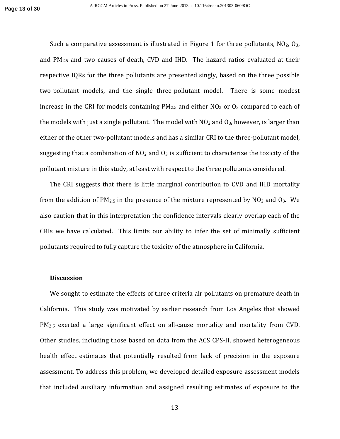Such a comparative assessment is illustrated in Figure 1 for three pollutants,  $NO_2$ ,  $O_3$ , and PM2.5 and two causes of death, CVD and IHD. The hazard ratios evaluated at their respective IQRs for the three pollutants are presented singly, based on the three possible two-pollutant models, and the single three-pollutant model. There is some modest increase in the CRI for models containing  $PM<sub>2.5</sub>$  and either NO<sub>2</sub> or O<sub>3</sub> compared to each of the models with just a single pollutant. The model with  $NO<sub>2</sub>$  and  $O<sub>3</sub>$ , however, is larger than either of the other two-pollutant models and has a similar CRI to the three-pollutant model, suggesting that a combination of  $NO<sub>2</sub>$  and  $O<sub>3</sub>$  is sufficient to characterize the toxicity of the pollutant mixture in this study, at least with respect to the three pollutants considered.

The CRI suggests that there is little marginal contribution to CVD and IHD mortality from the addition of  $PM_{2.5}$  in the presence of the mixture represented by  $NO<sub>2</sub>$  and  $O<sub>3</sub>$ . We also caution that in this interpretation the confidence intervals clearly overlap each of the CRIs we have calculated. This limits our ability to infer the set of minimally sufficient pollutants required to fully capture the toxicity of the atmosphere in California.

#### **Discussion**

We sought to estimate the effects of three criteria air pollutants on premature death in California. This study was motivated by earlier research from Los Angeles that showed PM<sub>2.5</sub> exerted a large significant effect on all-cause mortality and mortality from CVD. Other studies, including those based on data from the ACS CPS-II, showed heterogeneous health effect estimates that potentially resulted from lack of precision in the exposure assessment. To address this problem, we developed detailed exposure assessment models that included auxiliary information and assigned resulting estimates of exposure to the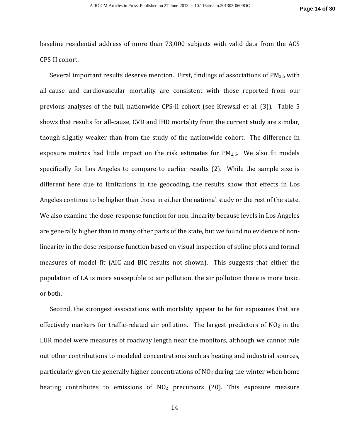baseline residential address of more than 73,000 subjects with valid data from the ACS CPS-II cohort.

Several important results deserve mention. First, findings of associations of  $PM_{2.5}$  with all-cause and cardiovascular mortality are consistent with those reported from our previous analyses of the full, nationwide CPS-II cohort (see Krewski et al. (3)). Table 5 shows that results for all-cause, CVD and IHD mortality from the current study are similar, though slightly weaker than from the study of the nationwide cohort. The difference in exposure metrics had little impact on the risk estimates for  $PM_{2.5}$ . We also fit models specifically for Los Angeles to compare to earlier results (2). While the sample size is different here due to limitations in the geocoding, the results show that effects in Los Angeles continue to be higher than those in either the national study or the rest of the state. We also examine the dose-response function for non-linearity because levels in Los Angeles are generally higher than in many other parts of the state, but we found no evidence of nonlinearity in the dose response function based on visual inspection of spline plots and formal measures of model fit (AIC and BIC results not shown). This suggests that either the population of LA is more susceptible to air pollution, the air pollution there is more toxic, or both.

Second, the strongest associations with mortality appear to be for exposures that are effectively markers for traffic-related air pollution. The largest predictors of  $NO<sub>2</sub>$  in the LUR model were measures of roadway length near the monitors, although we cannot rule out other contributions to modeled concentrations such as heating and industrial sources, particularly given the generally higher concentrations of  $NO<sub>2</sub>$  during the winter when home heating contributes to emissions of  $NO<sub>2</sub>$  precursors (20). This exposure measure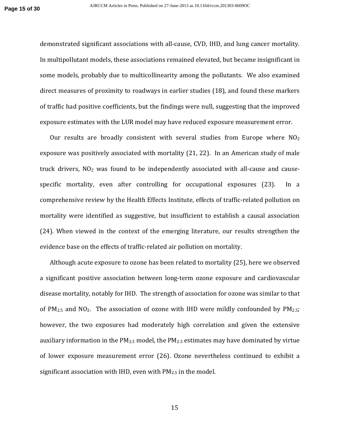demonstrated significant associations with all-cause, CVD, IHD, and lung cancer mortality. In multipollutant models, these associations remained elevated, but became insignificant in some models, probably due to multicollinearity among the pollutants. We also examined direct measures of proximity to roadways in earlier studies (18), and found these markers of traffic had positive coefficients, but the findings were null, suggesting that the improved exposure estimates with the LUR model may have reduced exposure measurement error.

Our results are broadly consistent with several studies from Europe where  $NO<sub>2</sub>$ exposure was positively associated with mortality (21, 22). In an American study of male truck drivers,  $NO<sub>2</sub>$  was found to be independently associated with all-cause and causespecific mortality, even after controlling for occupational exposures (23). In a comprehensive review by the Health Effects Institute, effects of traffic-related pollution on mortality were identified as suggestive, but insufficient to establish a causal association (24). When viewed in the context of the emerging literature, our results strengthen the evidence base on the effects of traffic-related air pollution on mortality.

Although acute exposure to ozone has been related to mortality (25), here we observed a significant positive association between long-term ozone exposure and cardiovascular disease mortality, notably for IHD. The strength of association for ozone was similar to that of PM2.5 and NO2. The association of ozone with IHD were mildly confounded by PM2.5; however, the two exposures had moderately high correlation and given the extensive auxiliary information in the  $PM_{2.5}$  model, the  $PM_{2.5}$  estimates may have dominated by virtue of lower exposure measurement error (26). Ozone nevertheless continued to exhibit a significant association with IHD, even with  $PM_{2.5}$  in the model.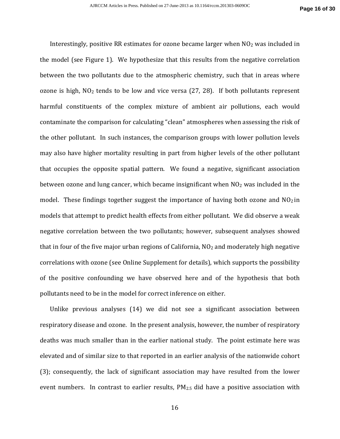Interestingly, positive RR estimates for ozone became larger when  $NO<sub>2</sub>$  was included in the model (see Figure 1). We hypothesize that this results from the negative correlation between the two pollutants due to the atmospheric chemistry, such that in areas where ozone is high,  $NO<sub>2</sub>$  tends to be low and vice versa (27, 28). If both pollutants represent harmful constituents of the complex mixture of ambient air pollutions, each would contaminate the comparison for calculating "clean" atmospheres when assessing the risk of the other pollutant. In such instances, the comparison groups with lower pollution levels may also have higher mortality resulting in part from higher levels of the other pollutant that occupies the opposite spatial pattern. We found a negative, significant association between ozone and lung cancer, which became insignificant when  $NO<sub>2</sub>$  was included in the model. These findings together suggest the importance of having both ozone and  $NO<sub>2</sub>$  in models that attempt to predict health effects from either pollutant. We did observe a weak negative correlation between the two pollutants; however, subsequent analyses showed that in four of the five major urban regions of California,  $NO<sub>2</sub>$  and moderately high negative correlations with ozone (see Online Supplement for details), which supports the possibility of the positive confounding we have observed here and of the hypothesis that both pollutants need to be in the model for correct inference on either.

Unlike previous analyses (14) we did not see a significant association between respiratory disease and ozone. In the present analysis, however, the number of respiratory deaths was much smaller than in the earlier national study. The point estimate here was elevated and of similar size to that reported in an earlier analysis of the nationwide cohort (3); consequently, the lack of significant association may have resulted from the lower event numbers. In contrast to earlier results,  $PM_{2.5}$  did have a positive association with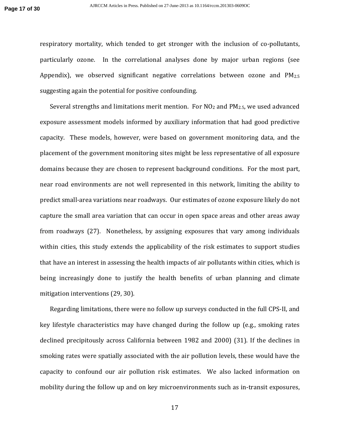respiratory mortality, which tended to get stronger with the inclusion of co-pollutants, particularly ozone. In the correlational analyses done by major urban regions (see Appendix), we observed significant negative correlations between ozone and  $PM_{2.5}$ suggesting again the potential for positive confounding.

Several strengths and limitations merit mention. For  $NO<sub>2</sub>$  and  $PM<sub>2.5</sub>$ , we used advanced exposure assessment models informed by auxiliary information that had good predictive capacity. These models, however, were based on government monitoring data, and the placement of the government monitoring sites might be less representative of all exposure domains because they are chosen to represent background conditions. For the most part, near road environments are not well represented in this network, limiting the ability to predict small-area variations near roadways. Our estimates of ozone exposure likely do not capture the small area variation that can occur in open space areas and other areas away from roadways (27). Nonetheless, by assigning exposures that vary among individuals within cities, this study extends the applicability of the risk estimates to support studies that have an interest in assessing the health impacts of air pollutants within cities, which is being increasingly done to justify the health benefits of urban planning and climate mitigation interventions (29, 30).

Regarding limitations, there were no follow up surveys conducted in the full CPS-II, and key lifestyle characteristics may have changed during the follow up (e.g., smoking rates declined precipitously across California between 1982 and 2000) (31). If the declines in smoking rates were spatially associated with the air pollution levels, these would have the capacity to confound our air pollution risk estimates. We also lacked information on mobility during the follow up and on key microenvironments such as in-transit exposures,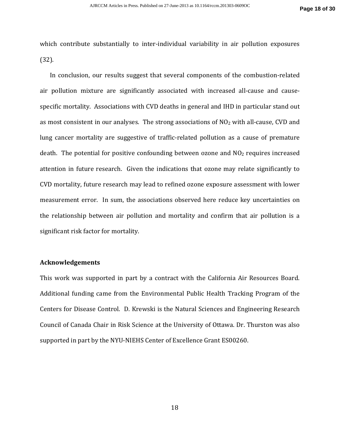which contribute substantially to inter-individual variability in air pollution exposures (32).

In conclusion, our results suggest that several components of the combustion-related air pollution mixture are significantly associated with increased all-cause and causespecific mortality. Associations with CVD deaths in general and IHD in particular stand out as most consistent in our analyses. The strong associations of  $NO<sub>2</sub>$  with all-cause, CVD and lung cancer mortality are suggestive of traffic-related pollution as a cause of premature death. The potential for positive confounding between ozone and  $NO<sub>2</sub>$  requires increased attention in future research. Given the indications that ozone may relate significantly to CVD mortality, future research may lead to refined ozone exposure assessment with lower measurement error. In sum, the associations observed here reduce key uncertainties on the relationship between air pollution and mortality and confirm that air pollution is a significant risk factor for mortality.

#### **Acknowledgements**

This work was supported in part by a contract with the California Air Resources Board. Additional funding came from the Environmental Public Health Tracking Program of the Centers for Disease Control. D. Krewski is the Natural Sciences and Engineering Research Council of Canada Chair in Risk Science at the University of Ottawa. Dr. Thurston was also supported in part by the NYU-NIEHS Center of Excellence Grant ES00260.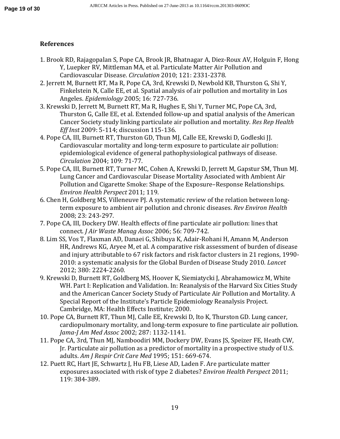## **References**

- 1. Brook RD, Rajagopalan S, Pope CA, Brook JR, Bhatnagar A, Diez-Roux AV, Holguin F, Hong Y, Luepker RV, Mittleman MA, et al. Particulate Matter Air Pollution and Cardiovascular Disease. *Circulation* 2010; 121: 2331-2378.
- 2. Jerrett M, Burnett RT, Ma R, Pope CA, 3rd, Krewski D, Newbold KB, Thurston G, Shi Y, Finkelstein N, Calle EE, et al. Spatial analysis of air pollution and mortality in Los Angeles. *Epidemiology* 2005; 16: 727-736.
- 3. Krewski D, Jerrett M, Burnett RT, Ma R, Hughes E, Shi Y, Turner MC, Pope CA, 3rd, Thurston G, Calle EE, et al. Extended follow-up and spatial analysis of the American Cancer Society study linking particulate air pollution and mortality. *Res Rep Health Eff Inst* 2009: 5-114; discussion 115-136.
- 4. Pope CA, III, Burnett RT, Thurston GD, Thun MJ, Calle EE, Krewski D, Godleski JJ. Cardiovascular mortality and long-term exposure to particulate air pollution: epidemiological evidence of general pathophysiological pathways of disease. *Circulation* 2004; 109: 71-77.
- 5. Pope CA, III, Burnett RT, Turner MC, Cohen A, Krewski D, Jerrett M, Gapstur SM, Thun MJ. Lung Cancer and Cardiovascular Disease Mortality Associated with Ambient Air Pollution and Cigarette Smoke: Shape of the Exposure–Response Relationships. *Environ Health Perspect* 2011; 119.
- 6. Chen H, Goldberg MS, Villeneuve PJ. A systematic review of the relation between longterm exposure to ambient air pollution and chronic diseases. *Rev Environ Health*  2008; 23: 243-297.
- 7. Pope CA, III, Dockery DW. Health effects of fine particulate air pollution: lines that connect. *J Air Waste Manag Assoc* 2006; 56: 709-742.
- 8. Lim SS, Vos T, Flaxman AD, Danaei G, Shibuya K, Adair-Rohani H, Amann M, Anderson HR, Andrews KG, Aryee M, et al. A comparative risk assessment of burden of disease and injury attributable to 67 risk factors and risk factor clusters in 21 regions, 1990- 2010: a systematic analysis for the Global Burden of Disease Study 2010. *Lancet*  2012; 380: 2224-2260.
- 9. Krewski D, Burnett RT, Goldberg MS, Hoover K, Siemiatycki J, Abrahamowicz M, White WH. Part I: Replication and Validation. In: Reanalysis of the Harvard Six Cities Study and the American Cancer Society Study of Particulate Air Pollution and Mortality. A Special Report of the Institute's Particle Epidemiology Reanalysis Project. Cambridge, MA: Health Effects Institute; 2000.
- 10. Pope CA, Burnett RT, Thun MJ, Calle EE, Krewski D, Ito K, Thurston GD. Lung cancer, cardiopulmonary mortality, and long-term exposure to fine particulate air pollution. *Jama-J Am Med Assoc* 2002; 287: 1132-1141.
- 11. Pope CA, 3rd, Thun MJ, Namboodiri MM, Dockery DW, Evans JS, Speizer FE, Heath CW, Jr. Particulate air pollution as a predictor of mortality in a prospective study of U.S. adults. *Am J Respir Crit Care Med* 1995; 151: 669-674.
- 12. Puett RC, Hart JE, Schwartz J, Hu FB, Liese AD, Laden F. Are particulate matter exposures associated with risk of type 2 diabetes? *Environ Health Perspect* 2011; 119: 384-389.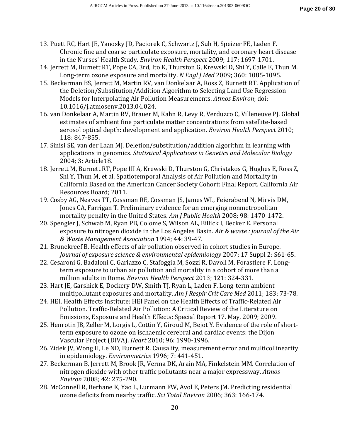- 13. Puett RC, Hart JE, Yanosky JD, Paciorek C, Schwartz J, Suh H, Speizer FE, Laden F. Chronic fine and coarse particulate exposure, mortality, and coronary heart disease in the Nurses' Health Study. *Environ Health Perspect* 2009; 117: 1697-1701.
- 14. Jerrett M, Burnett RT, Pope CA, 3rd, Ito K, Thurston G, Krewski D, Shi Y, Calle E, Thun M. Long-term ozone exposure and mortality. *N Engl J Med* 2009; 360: 1085-1095.
- 15. Beckerman BS, Jerrett M, Martin RV, van Donkelaar A, Ross Z, Burnett RT. Application of the Deletion/Substitution/Addition Algorithm to Selecting Land Use Regression Models for Interpolating Air Pollution Measurements. *Atmos Environ*; doi: 10.1016/j.atmosenv.2013.04.024.
- 16. van Donkelaar A, Martin RV, Brauer M, Kahn R, Levy R, Verduzco C, Villeneuve PJ. Global estimates of ambient fine particulate matter concentrations from satellite-based aerosol optical depth: development and application. *Environ Health Perspect* 2010; 118: 847-855.
- 17. Sinisi SE, van der Laan MJ. Deletion/substitution/addition algorithm in learning with applications in genomics. *Statistical Applications in Genetics and Molecular Biology*  2004; 3: Article18.
- 18. Jerrett M, Burnett RT, Pope III A, Krewski D, Thurston G, Christakos G, Hughes E, Ross Z, Shi Y, Thun M, et al. Spatiotemporal Analysis of Air Pollution and Mortality in California Based on the American Cancer Society Cohort: Final Report. California Air Resources Board; 2011.
- 19. Cosby AG, Neaves TT, Cossman RE, Cossman JS, James WL, Feierabend N, Mirvis DM, Jones CA, Farrigan T. Preliminary evidence for an emerging nonmetropolitan mortality penalty in the United States. *Am J Public Health* 2008; 98: 1470-1472.
- 20. Spengler J, Schwab M, Ryan PB, Colome S, Wilson AL, Billick I, Becker E. Personal exposure to nitrogen dioxide in the Los Angeles Basin. *Air & waste : journal of the Air & Waste Management Association* 1994; 44: 39-47.
- 21. Brunekreef B. Health effects of air pollution observed in cohort studies in Europe. *Journal of exposure science & environmental epidemiology* 2007; 17 Suppl 2: S61-65.
- 22. Cesaroni G, Badaloni C, Gariazzo C, Stafoggia M, Sozzi R, Davoli M, Forastiere F. Longterm exposure to urban air pollution and mortality in a cohort of more than a million adults in Rome. *Environ Health Perspect* 2013; 121: 324-331.
- 23. Hart JE, Garshick E, Dockery DW, Smith TJ, Ryan L, Laden F. Long-term ambient multipollutant exposures and mortality. *Am J Respir Crit Care Med* 2011; 183: 73-78.
- 24. HEI. Health Effects Institute: HEI Panel on the Health Effects of Traffic-Related Air Pollution. Traffic-Related Air Pollution: A Critical Review of the Literature on Emissions, Exposure and Health Effects: Special Report 17. May, 2009; 2009.
- 25. Henrotin JB, Zeller M, Lorgis L, Cottin Y, Giroud M, Bejot Y. Evidence of the role of shortterm exposure to ozone on ischaemic cerebral and cardiac events: the Dijon Vascular Project (DIVA). *Heart* 2010; 96: 1990-1996.
- 26. Zidek JV, Wong H, Le ND, Burnett R. Causality, measurement error and multicollinearity in epidemiology. *Environmetrics* 1996; 7: 441-451.
- 27. Beckerman B, Jerrett M, Brook JR, Verma DK, Arain MA, Finkelstein MM. Correlation of nitrogen dioxide with other traffic pollutants near a major expressway. *Atmos Environ* 2008; 42: 275-290.
- 28. McConnell R, Berhane K, Yao L, Lurmann FW, Avol E, Peters JM. Predicting residential ozone deficits from nearby traffic. *Sci Total Environ* 2006; 363: 166-174.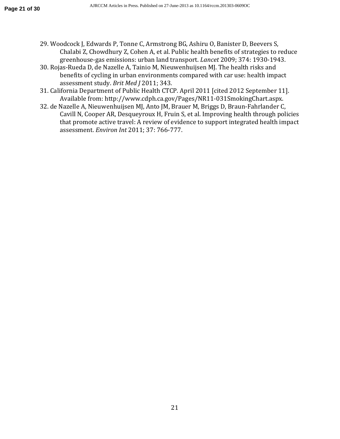- 29. Woodcock J, Edwards P, Tonne C, Armstrong BG, Ashiru O, Banister D, Beevers S, Chalabi Z, Chowdhury Z, Cohen A, et al. Public health benefits of strategies to reduce greenhouse-gas emissions: urban land transport. *Lancet* 2009; 374: 1930-1943.
- 30. Rojas-Rueda D, de Nazelle A, Tainio M, Nieuwenhuijsen MJ. The health risks and benefits of cycling in urban environments compared with car use: health impact assessment study. *Brit Med J* 2011; 343.
- 31. California Department of Public Health CTCP. April 2011 [cited 2012 September 11]. Available from: http://www.cdph.ca.gov/Pages/NR11-031SmokingChart.aspx.
- 32. de Nazelle A, Nieuwenhuijsen MJ, Anto JM, Brauer M, Briggs D, Braun-Fahrlander C, Cavill N, Cooper AR, Desqueyroux H, Fruin S, et al. Improving health through policies that promote active travel: A review of evidence to support integrated health impact assessment. *Environ Int* 2011; 37: 766-777.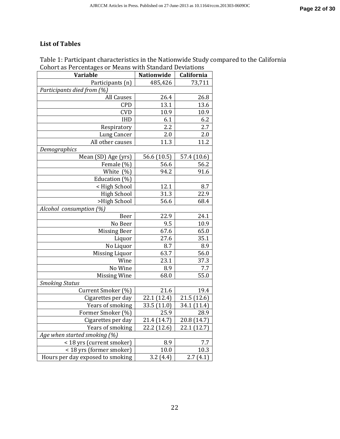## **List of Tables**

## Table 1: Participant characteristics in the Nationwide Study compared to the California Cohort as Percentages or Means with Standard Deviations

| <b>Variable</b>                  | Nationwide  | California   |  |  |  |  |  |
|----------------------------------|-------------|--------------|--|--|--|--|--|
| Participants (n)                 | 485,426     | 73,711       |  |  |  |  |  |
| Participants died from (%)       |             |              |  |  |  |  |  |
| <b>All Causes</b>                | 26.4        | 26.8         |  |  |  |  |  |
| <b>CPD</b>                       | 13.1        | 13.6         |  |  |  |  |  |
| <b>CVD</b>                       | 10.9        | 10.9         |  |  |  |  |  |
| <b>IHD</b>                       | 6.1         | 6.2          |  |  |  |  |  |
| Respiratory                      | 2.2         | 2.7          |  |  |  |  |  |
| <b>Lung Cancer</b>               | 2.0         | 2.0          |  |  |  |  |  |
| All other causes                 | 11.3        | 11.2         |  |  |  |  |  |
| Demographics                     |             |              |  |  |  |  |  |
| Mean (SD) Age (yrs)              | 56.6 (10.5) | 57.4 (10.6)  |  |  |  |  |  |
| Female (%)                       | 56.6        | 56.2         |  |  |  |  |  |
| (% )<br>White                    | 94.2        | 91.6         |  |  |  |  |  |
| Education (%)                    |             |              |  |  |  |  |  |
| < High School                    | 12.1        | 8.7          |  |  |  |  |  |
| <b>High School</b>               | 31.3        | 22.9         |  |  |  |  |  |
| >High School                     | 56.6        | 68.4         |  |  |  |  |  |
| Alcohol consumption (%)          |             |              |  |  |  |  |  |
| Beer                             | 22.9        | 24.1         |  |  |  |  |  |
| No Beer                          | 9.5         | 10.9         |  |  |  |  |  |
| <b>Missing Beer</b>              | 67.6        | 65.0         |  |  |  |  |  |
| Liquor                           | 27.6        | 35.1         |  |  |  |  |  |
| No Liquor                        | 8.7         | 8.9          |  |  |  |  |  |
| <b>Missing Liquor</b>            | 63.7        | 56.0         |  |  |  |  |  |
| Wine                             | 23.1        | 37.3         |  |  |  |  |  |
| No Wine                          | 8.9         | 7.7          |  |  |  |  |  |
| <b>Missing Wine</b>              | 68.0        | 55.0         |  |  |  |  |  |
| <b>Smoking Status</b>            |             |              |  |  |  |  |  |
| Current Smoker (%)               | 21.6        | 19.4         |  |  |  |  |  |
| Cigarettes per day               | 22.1 (12.4) | 21.5 (12.6)  |  |  |  |  |  |
| Years of smoking                 | 33.5 (11.0) | 34.1 (11.4)  |  |  |  |  |  |
| Former Smoker (%)                | 25.9        | 28.9         |  |  |  |  |  |
| Cigarettes per day               | 21.4 (14.7) | 20.8 (14.7)  |  |  |  |  |  |
| Years of smoking                 | 22.2 (12.6) | 22.1 (12.7)  |  |  |  |  |  |
| Age when started smoking (%)     |             |              |  |  |  |  |  |
| < 18 yrs (current smoker)        | 8.9         | 7.7          |  |  |  |  |  |
| < 18 yrs (former smoker)         | 10.0        | 10.3         |  |  |  |  |  |
| Hours per day exposed to smoking | 3.2(4.4)    | 2.7<br>(4.1) |  |  |  |  |  |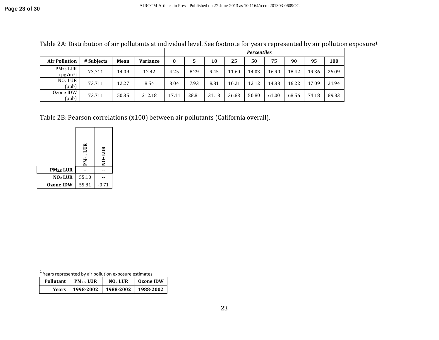|                                        |            |       |                 | <b>Percentiles</b> |       |       |       |       |       |       |       |       |
|----------------------------------------|------------|-------|-----------------|--------------------|-------|-------|-------|-------|-------|-------|-------|-------|
| <b>Air Pollution</b>                   | # Subjects | Mean  | <b>Variance</b> | 0                  |       | 10    | 25    | 50    | 75    | 90    | 95    | 100   |
| PM <sub>2.5</sub> LUR<br>$(\mu g/m^3)$ | 73,711     | 14.09 | 12.42           | 4.25               | 8.29  | 9.45  | 11.60 | 14.03 | 16.90 | 18.42 | 19.36 | 25.09 |
| NO <sub>2</sub> LUR<br>(ppb)           | 73,711     | 12.27 | 8.54            | 3.04               | 7.93  | 8.81  | 10.21 | 12.12 | 14.33 | 16.22 | 17.09 | 21.94 |
| Ozone IDW<br>(ppb)                     | 73,711     | 50.35 | 212.18          | 17.11              | 28.81 | 31.13 | 36.83 | 50.80 | 61.00 | 68.56 | 74.18 | 89.33 |

Table 2A: Distribution of air pollutants at individual level. See footnote for years represented by air pollution exposure<sup>1</sup>

Table 2B: Pearson correlations (x100) between air pollutants (California overall).

|                       | $PM_{2.5}$ LUR | NO <sub>2</sub> LUR |
|-----------------------|----------------|---------------------|
| PM <sub>2.5</sub> LUR |                |                     |
| NO <sub>2</sub> LUR   | 55.10          |                     |
| <b>Ozone IDW</b>      | 55.81          | $-0.71$             |

| Years represented by air pollution exposure estimates |                       |                     |                  |  |  |  |
|-------------------------------------------------------|-----------------------|---------------------|------------------|--|--|--|
| Pollutant                                             | PM <sub>2.5</sub> LUR | NO <sub>2</sub> LUR | <b>Ozone IDW</b> |  |  |  |
| Years                                                 | 1998-2002             | 1988-2002           | 1988-2002        |  |  |  |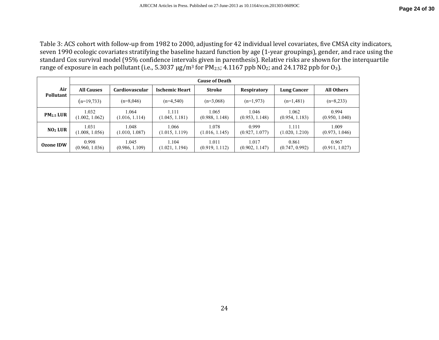Table 3: ACS cohort with follow-up from 1982 to 2000, adjusting for 42 individual level covariates, five CMSA city indicators, seven 1990 ecologic covariates stratifying the baseline hazard function by age (1-year groupings), gender, and race using the standard Cox survival model (95% confidence intervals given in parenthesis). Relative risks are shown for the interquartile range of exposure in each pollutant (i.e., 5.3037  $\mu$ g/m<sup>3</sup> for PM<sub>2.5</sub>; 4.1167 ppb NO<sub>2</sub>; and 24.1782 ppb for O<sub>3</sub>).

|                         | <b>Cause of Death</b> |                       |                       |                |                |                    |                   |
|-------------------------|-----------------------|-----------------------|-----------------------|----------------|----------------|--------------------|-------------------|
| Air<br><b>Pollutant</b> | <b>All Causes</b>     | <b>Cardiovascular</b> | <b>Ischemic Heart</b> | <b>Stroke</b>  | Respiratory    | <b>Lung Cancer</b> | <b>All Others</b> |
|                         | $(n=19,733)$          | $(n=8,046)$           | $(n=4,540)$           | $(n=3,068)$    | $(n=1,973)$    | $(n=1,481)$        | $(n=8,233)$       |
| PM <sub>2.5</sub> LUR   | 1.032                 | 1.064                 | 1.111                 | 1.065          | 1.046          | 1.062              | 0.994             |
|                         | (1.002, 1.062)        | (1.016, 1.114)        | (1.045, 1.181)        | (0.988, 1.148) | (0.953, 1.148) | (0.954, 1.183)     | (0.950, 1.040)    |
| NO <sub>2</sub> LUR     | 1.031                 | 1.048                 | 1.066                 | 1.078          | 0.999          | 1.111              | 1.009             |
|                         | (1.008, 1.056)        | (1.010, 1.087)        | (1.015, 1.119)        | (1.016, 1.145) | (0.927, 1.077) | (1.020, 1.210)     | (0.973, 1.046)    |
| Ozone IDW               | 0.998                 | 1.045                 | 1.104                 | 1.011          | 1.017          | 0.861              | 0.967             |
|                         | (0.960, 1.036)        | (0.986, 1.109)        | (1.021, 1.194)        | (0.919, 1.112) | (0.902, 1.147) | (0.747, 0.992)     | (0.911, 1.027)    |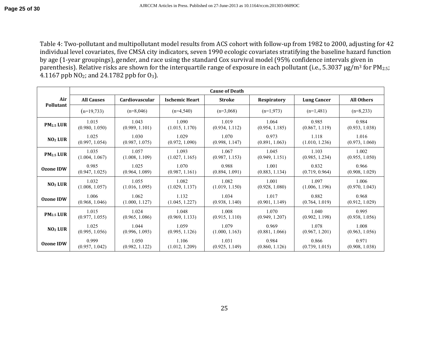Table 4: Two-pollutant and multipollutant model results from ACS cohort with follow-up from 1982 to 2000, adjusting for 42 individual level covariates, five CMSA city indicators, seven 1990 ecologic covariates stratifying the baseline hazard function by age (1-year groupings), gender, and race using the standard Cox survival model (95% confidence intervals given in parenthesis). Relative risks are shown for the interquartile range of exposure in each pollutant (i.e., 5.3037 μg/m<sup>3</sup> for PM<sub>2.5</sub>; 4.1167 ppb NO2; and 24.1782 ppb for O3).

|                       | <b>Cause of Death</b> |                       |                       |                |                    |                    |                   |  |
|-----------------------|-----------------------|-----------------------|-----------------------|----------------|--------------------|--------------------|-------------------|--|
| Air                   | <b>All Causes</b>     | <b>Cardiovascular</b> | <b>Ischemic Heart</b> | <b>Stroke</b>  | <b>Respiratory</b> | <b>Lung Cancer</b> | <b>All Others</b> |  |
| Pollutant             | $(n=19,733)$          | $(n=8,046)$           | $(n=4,540)$           | $(n=3,068)$    | $(n=1,973)$        | $(n=1,481)$        | $(n=8,233)$       |  |
| PM <sub>2.5</sub> LUR | 1.015                 | 1.043                 | 1.090                 | 1.019          | 1.064              | 0.985              | 0.984             |  |
|                       | (0.980, 1.050)        | (0.989, 1.101)        | (1.015, 1.170)        | (0.934, 1.112) | (0.954, 1.185)     | (0.867, 1.119)     | (0.933, 1.038)    |  |
| NO <sub>2</sub> LUR   | 1.025                 | 1.030                 | 1.029                 | 1.070          | 0.973              | 1.118              | 1.016             |  |
|                       | (0.997, 1.054)        | (0.987, 1.075)        | (0.972, 1.090)        | (0.998, 1.147) | (0.891, 1.063)     | (1.010, 1.236)     | (0.973, 1.060)    |  |
| PM <sub>2.5</sub> LUR | 1.035                 | 1.057                 | 1.093                 | 1.067          | 1.045              | 1.103              | 1.002             |  |
|                       | (1.004, 1.067)        | (1.008, 1.109)        | (1.027, 1.165)        | (0.987, 1.153) | (0.949, 1.151)     | (0.985, 1.234)     | (0.955, 1.050)    |  |
| <b>Ozone IDW</b>      | 0.985                 | 1.025                 | 1.070                 | 0.988          | 1.001              | 0.832              | 0.966             |  |
|                       | (0.947, 1.025)        | (0.964, 1.089)        | (0.987, 1.161)        | (0.894, 1.091) | (0.883, 1.134)     | (0.719, 0.964)     | (0.908, 1.029)    |  |
| NO <sub>2</sub> LUR   | 1.032                 | 1.055                 | 1.082                 | 1.082          | 1.001              | 1.097              | 1.006             |  |
|                       | (1.008, 1.057)        | (1.016, 1.095)        | (1.029, 1.137)        | (1.019, 1.150) | (0.928, 1.080)     | (1.006, 1.196)     | (0.970, 1.043)    |  |
| <b>Ozone IDW</b>      | 1.006                 | 1.062                 | 1.132                 | 1.034          | 1.017              | 0.882              | 0.968             |  |
|                       | (0.968, 1.046)        | (1.000, 1.127)        | (1.045, 1.227)        | (0.938, 1.140) | (0.901, 1.149)     | (0.764, 1.019)     | (0.912, 1.029)    |  |
| PM <sub>2.5</sub> LUR | 1.015                 | 1.024                 | 1.048                 | 1.008          | 1.070              | 1.040              | 0.995             |  |
|                       | (0.977, 1.055)        | (0.965, 1.086)        | (0.969, 1.133)        | (0.915, 1.110) | (0.949, 1.207)     | (0.902, 1.198)     | (0.938, 1.056)    |  |
| NO <sub>2</sub> LUR   | 1.025                 | 1.044                 | 1.059                 | 1.079          | 0.969              | 1.078              | 1.008             |  |
|                       | (0.995, 1.056)        | (0.996, 1.093)        | (0.995, 1.126)        | (1.000, 1.163) | (0.881, 1.066)     | (0.967, 1.201)     | (0.963, 1.056)    |  |
| <b>Ozone IDW</b>      | 0.999                 | 1.050                 | 1.106                 | 1.031          | 0.984              | 0.866              | 0.971             |  |
|                       | (0.957, 1.042)        | (0.982, 1.122)        | (1.012, 1.209)        | (0.925, 1.149) | (0.860, 1.126)     | (0.739, 1.015)     | (0.908, 1.038)    |  |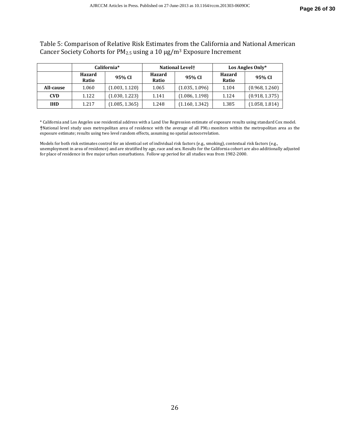Table 5: Comparison of Relative Risk Estimates from the California and National American Cancer Society Cohorts for PM2.5 using a 10 µg/m3 Exposure Increment

|            | California*     |                |                        | <b>National Levelt</b> | Los Angles Only*       |                |  |
|------------|-----------------|----------------|------------------------|------------------------|------------------------|----------------|--|
|            | Hazard<br>Ratio | 95% CI         | <b>Hazard</b><br>Ratio | 95% CI                 | <b>Hazard</b><br>Ratio | 95% CI         |  |
| All-cause  | 1.060           | (1.003, 1.120) | 1.065                  | (1.035, 1.096)         | 1.104                  | (0.968, 1.260) |  |
| <b>CVD</b> | 1.122           | (1.030, 1.223) | 1.141                  | (1.086, 1.198)         | 1.124                  | (0.918, 1.375) |  |
| <b>IHD</b> | 1.217           | (1.085, 1.365) | 1.248                  | (1.160, 1.342)         | 1.385                  | (1.058, 1.814) |  |

\* California and Los Angeles use residential address with a Land Use Regression estimate of exposure results using standard Cox model. **†**National level study uses metropolitan area of residence with the average of all PM2.5 monitors within the metropolitan area as the exposure estimate; results using two level random effects, assuming no spatial autocorrelation.

Models for both risk estimates control for an identical set of individual risk factors (e.g., smoking), contextual risk factors (e.g., unemployment in area of residence) and are stratified by age, race and sex. Results for the California cohort are also additionally adjusted for place of residence in five major urban conurbations. Follow up period for all studies was from 1982-2000.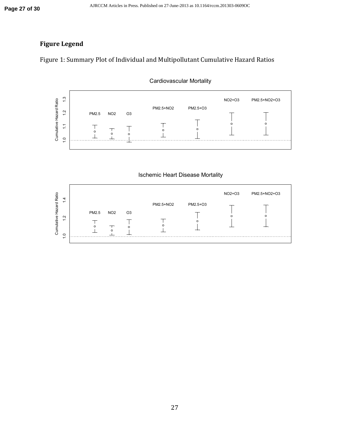## **Figure Legend**

Figure 1: Summary Plot of Individual and Multipollutant Cumulative Hazard Ratios



Cardiovascular Mortality

Ischemic Heart Disease Mortality

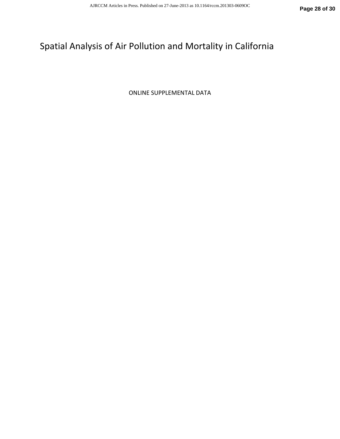# Spatial Analysis of Air Pollution and Mortality in California

ONLINE SUPPLEMENTAL DATA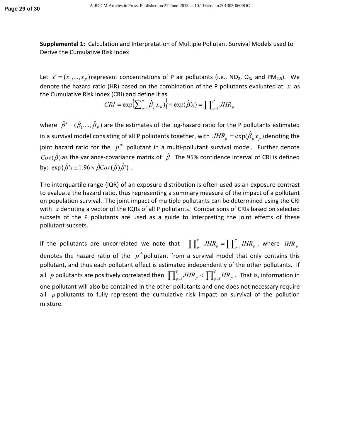**Supplemental 1:** Calculation and Interpretation of Multiple Pollutant Survival Models used to Derive the Cumulative Risk Index

Let  $x' = (x_1, \ldots, x_p)$  represent concentrations of P air pollutants (i.e., NO<sub>2</sub>, O<sub>3</sub>, and PM<sub>2.5</sub>). We denote the hazard ratio (HR) based on the combination of the P pollutants evaluated at  $\bar{x}$  as the Cumulative Risk Index (CRI) and define it as

$$
CRI = \exp\left\{\sum_{p=1}^{P} \hat{\beta}_p x_p \right\} \equiv \exp(\hat{\beta}' x) = \prod_{p=1}^{P} JHR_p
$$

where  $\hat{\beta}' = (\hat{\beta}_1,...,\hat{\beta}_P)$  are the estimates of the log-hazard ratio for the P pollutants estimated in a survival model consisting of all P pollutants together, with  $JHR_{_p} = \exp(\hat{\beta}_{_p} x_{_p})$  denoting the joint hazard ratio for the  $p^{th}$  pollutant in a multi-pollutant survival model. Further denote  $Cov(\hat{\beta})$  as the variance-covariance matrix of  $\hat{\beta}$ . The 95% confidence interval of CRI is defined by:  $\exp{\{\hat{\beta}'x \pm 1.96 \times \hat{\beta}Cov(\hat{\beta})\hat{\beta}'\}}$ .

The interquartile range (IQR) of an exposure distribution is often used as an exposure contrast to evaluate the hazard ratio, thus representing a summary measure of the impact of a pollutant on population survival. The joint impact of multiple pollutants can be determined using the CRI with  $x$  denoting a vector of the IQRs of all P pollutants. Comparisons of CRIs based on selected subsets of the P pollutants are used as a guide to interpreting the joint effects of these pollutant subsets.

If the pollutants are uncorrelated we note that  $\prod_{p=1}^p JHR_p = \prod_{p=1}^p IHR_p$  , where denotes the hazard ratio of the  $p^{\text{th}}$  pollutant from a survival model that only contains this pollutant, and thus each pollutant effect is estimated independently of the other pollutants. If all ppollutants are positively correlated then  $\prod_{p=1}^P JHR_p < \prod_{p=1}^P HR_p$  . That is, information in one pollutant will also be contained in the other pollutants and one does not necessary require all  $p$  pollutants to fully represent the cumulative risk impact on survival of the pollution mixture.  $p=1$ <sup>*HHI*</sup> $p$ *P*  $\int_{p=1}^{\infty} JHR_{_{P}} = \prod_{p=1}^{\infty} IHR_{_{P}}$  , where  $\left| IHR\right|_{p}$  $p=1$ <sup>*i*</sup>*in*<sub>*p*</sub> *P*  $\int_{p=1}^{1} JHR_p \leq \prod_{p=1}^{1} HR_p$